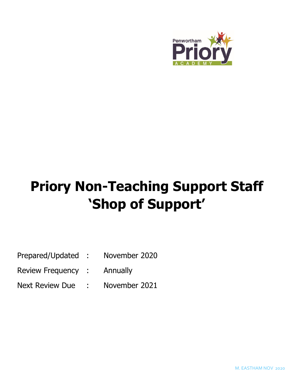

# **Priory Non-Teaching Support Staff 'Shop of Support'**

| Prepared/Updated | November 2020 |
|------------------|---------------|
|                  |               |

- Review Frequency : Annually
- Next Review Due : November 2021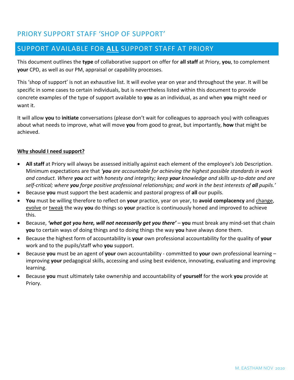# PRIORY SUPPORT STAFF 'SHOP OF SUPPORT'

# SUPPORT AVAILABLE FOR **ALL** SUPPORT STAFF AT PRIORY

This document outlines the **type** of collaborative support on offer for **all staff** at Priory, **you**, to complement **your** CPD, as well as our PM, appraisal or capability processes.

This 'shop of support' is not an exhaustive list. It will evolve year on year and throughout the year. It will be specific in some cases to certain individuals, but is nevertheless listed within this document to provide concrete examples of the type of support available to **you** as an individual, as and when **you** might need or want it.

It will allow **you** to **initiate** conversations (please don't wait for colleagues to approach you) with colleagues about what needs to improve, what will move **you** from good to great, but importantly, **how** that might be achieved.

### **Why should I need support?**

- **All staff** at Priory will always be assessed initially against each element of the employee's Job Description. Minimum expectations are that *'you are accountable for achieving the highest possible standards in work and conduct. Where you act with honesty and integrity; keep your knowledge and skills up-to-date and are self-critical; where you forge positive professional relationships; and work in the best interests of all pupils.'*
- Because **you** must support the best academic and pastoral progress of **all** our pupils.
- **You** must be willing therefore to reflect on **your** practice, year on year, to **avoid complacency** and change, evolve or tweak the way **you** do things so **your** practice is continuously honed and improved to achieve this.
- Because, **'what got you here, will not necessarily get you there' you** must break any mind-set that chain **you** to certain ways of doing things and to doing things the way **you** have always done them.
- Because the highest form of accountability is **your** own professional accountability for the quality of **your** work and to the pupils/staff who **you** support.
- Because **you** must be an agent of **your** own accountability committed to **your** own professional learning improving **your** pedagogical skills, accessing and using best evidence, innovating, evaluating and improving learning.
- Because **you** must ultimately take ownership and accountability of **yourself** for the work **you** provide at Priory.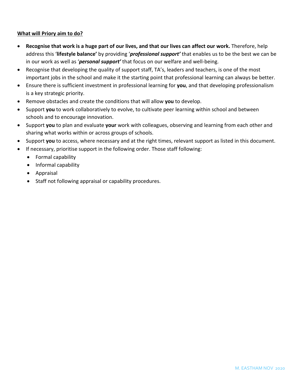### **What will Priory aim to do?**

- **Recognise that work is a huge part of our lives, and that our lives can affect our work.** Therefore, help address this '**lifestyle balance'** by providing '*professional support'* that enables us to be the best we can be in our work as well as '*personal support'* that focus on our welfare and well-being.
- Recognise that developing the quality of support staff, TA's, leaders and teachers, is one of the most important jobs in the school and make it the starting point that professional learning can always be better.
- Ensure there is sufficient investment in professional learning for **you**, and that developing professionalism is a key strategic priority.
- Remove obstacles and create the conditions that will allow **you** to develop.
- Support **you** to work collaboratively to evolve, to cultivate peer learning within school and between schools and to encourage innovation.
- Support **you** to plan and evaluate **your** work with colleagues, observing and learning from each other and sharing what works within or across groups of schools.
- Support **you** to access, where necessary and at the right times, relevant support as listed in this document.
- If necessary, prioritise support in the following order. Those staff following:
	- Formal capability
	- Informal capability
	- Appraisal
	- Staff not following appraisal or capability procedures.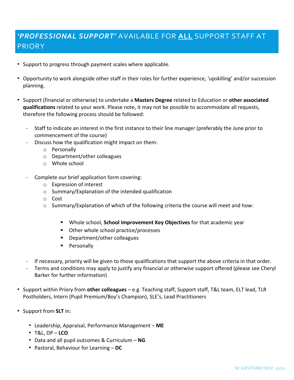# *'PROFESSIONAL SUPPORT'* AVAILABLE FOR **ALL** SUPPORT STAFF AT PRIORY

- Support to progress through payment scales where applicable.
- Opportunity to work alongside other staff in their roles for further experience, 'upskilling' and/or succession planning.
- Support (financial or otherwise) to undertake a **Masters Degree** related to Education or **other associated qualifications** related to your work. Please note, it may not be possible to accommodate all requests, therefore the following process should be followed:
	- Staff to indicate an interest in the first instance to their line manager (preferably the June prior to commencement of the course)
	- Discuss how the qualification might impact on them:
		- o Personally
		- o Department/other colleagues
		- o Whole school
	- Complete our brief application form covering:
		- o Expression of interest
		- o Summary/Explanation of the intended qualification
		- o Cost
		- o Summary/Explanation of which of the following criteria the course will meet and how:
			- Whole school, **School Improvement Key Objectives** for that academic year
			- Other whole school practice/processes
			- Department/other colleagues
			- **Personally**
	- If necessary, priority will be given to those qualifications that support the above criteria in that order.
	- Terms and conditions may apply to justify any financial or otherwise support offered (please see Cheryl Barker for further information)
- Support within Priory from **other colleagues** e.g. Teaching staff, Support staff, T&L team, ELT lead, TLR Postholders, Intern (Pupil Premium/Boy's Champion), SLE's, Lead Practitioners
- Support from **SLT** in:
	- Leadership, Appraisal, Performance Management **ME**
	- T&L, DP **LCO**
	- Data and all pupil outcomes & Curriculum **NG**
	- Pastoral, Behaviour for Learning **DC**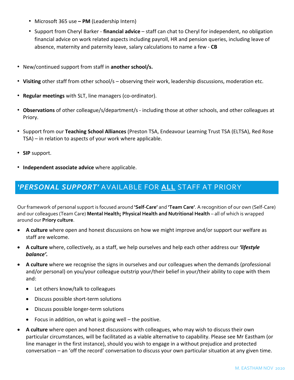- Microsoft 365 use **– PM** (Leadership Intern)
- Support from Cheryl Barker **financial advice** staff can chat to Cheryl for independent, no obligation financial advice on work related aspects including payroll, HR and pension queries, including leave of absence, maternity and paternity leave, salary calculations to name a few - **CB**
- New/continued support from staff in **another school/s.**
- **Visiting** other staff from other school/s observing their work, leadership discussions, moderation etc.
- **Regular meetings** with SLT, line managers (co-ordinator).
- **Observations** of other colleague/s/department/s including those at other schools, and other colleagues at Priory.
- Support from our **Teaching School Alliances** (Preston TSA, Endeavour Learning Trust TSA (ELTSA), Red Rose TSA) – in relation to aspects of your work where applicable.
- **SIP** support.
- **Independent associate advice** where applicable.

### *'PERSONAL SUPPORT'* AVAILABLE FOR **ALL** STAFF AT PRIORY

Our framework of personal support is focused around **'Self-Care'** and **'Team Care'**. A recognition of our own (Self-Care) and our colleagues (Team Care) **Mental Health; Physical Health and Nutritional Health** – all of which is wrapped around our **Priory culture**.

- **A culture** where open and honest discussions on how we might improve and/or support our welfare as staff are welcome.
- **A culture** where, collectively, as a staff, we help ourselves and help each other address our *'lifestyle balance'.*
- **A culture** where we recognise the signs in ourselves and our colleagues when the demands (professional and/or personal) on you/your colleague outstrip your/their belief in your/their ability to cope with them and:
	- Let others know/talk to colleagues
	- Discuss possible short-term solutions
	- Discuss possible longer-term solutions
	- Focus in addition, on what is going well the positive.
- **A culture** where open and honest discussions with colleagues, who may wish to discuss their own particular circumstances, will be facilitated as a viable alternative to capability. Please see Mr Eastham (or line manager in the first instance), should you wish to engage in a without prejudice and protected conversation – an 'off the record' conversation to discuss your own particular situation at any given time.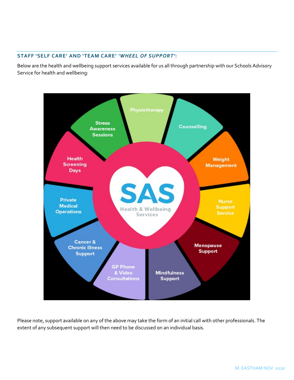### **STAFF 'SELF CARE' AND 'TEAM CARE'** *'WHEEL OF SUPPORT'***:**

Below are the health and wellbeing support services available for us all through partnership with our Schools Advisory Service for health and wellbeing:



Please note, support available on any of the above may take the form of an initial call with other professionals. The extent of any subsequent support will then need to be discussed on an individual basis.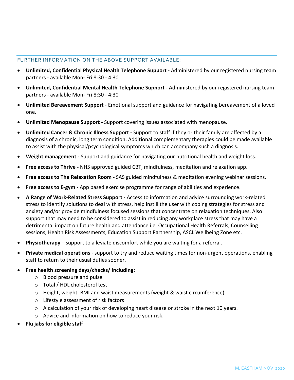#### FURTHER INFORMATION ON THE ABOVE SUPPORT AVAILABLE:

- **Unlimited, Confidential Physical Health Telephone Support -** Administered by our registered nursing team partners - available Mon- Fri 8:30 - 4:30
- **Unlimited, Confidential Mental Health Telephone Support -** Administered by our registered nursing team partners - available Mon- Fri 8:30 - 4:30
- **Unlimited Bereavement Support** Emotional support and guidance for navigating bereavement of a loved one.
- **Unlimited Menopause Support -** Support covering issues associated with menopause.
- **Unlimited Cancer & Chronic Illness Support -** Support to staff if they or their family are affected by a diagnosis of a chronic, long term condition. Additional complementary therapies could be made available to assist with the physical/psychological symptoms which can accompany such a diagnosis.
- **Weight management -** Support and guidance for navigating our nutritional health and weight loss.
- **Free access to Thrive -** NHS approved guided CBT, mindfulness, meditation and relaxation app.
- **Free access to The Relaxation Room -** SAS guided mindfulness & meditation evening webinar sessions.
- **Free access to E-gym -** App based exercise programme for range of abilities and experience.
- **A Range of Work-Related Stress Support -** Access to information and advice surrounding work-related stress to identify solutions to deal with stress, help instill the user with coping strategies for stress and anxiety and/or provide mindfulness focused sessions that concentrate on relaxation techniques. Also support that may need to be considered to assist in reducing any workplace stress that may have a detrimental impact on future health and attendance i.e. Occupational Health Referrals, Counselling sessions, Health Risk Assessments, Education Support Partnership, ASCL Wellbeing Zone etc.
- **Physiotherapy** support to alleviate discomfort while you are waiting for a referral.
- **Private medical operations**  support to try and reduce waiting times for non-urgent operations, enabling staff to return to their usual duties sooner.
- **Free health screening days/checks/ including:**
	- o Blood pressure and pulse
	- o Total / HDL cholesterol test
	- o Height, weight, BMI and waist measurements (weight & waist circumference)
	- o Lifestyle assessment of risk factors
	- $\circ$  A calculation of your risk of developing heart disease or stroke in the next 10 years.
	- o Advice and information on how to reduce your risk.
- **Flu jabs for eligible staff**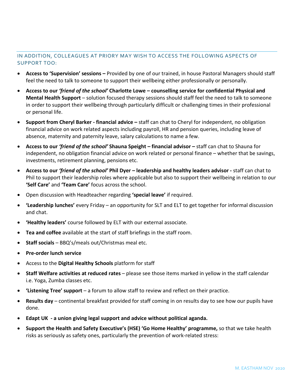### IN ADDITION, COLLEAGUES AT PRIORY MAY WISH TO ACCESS THE FOLLOWING ASPECTS OF SUPPORT TOO:

- **Access to 'Supervision' sessions –** Provided by one of our trained, in house Pastoral Managers should staff feel the need to talk to someone to support their wellbeing either professionally or personally.
- **Access to our** *'friend of the school'* **Charlotte Lowe – counselling service for confidential Physical and Mental Health Support** – solution focused therapy sessions should staff feel the need to talk to someone in order to support their wellbeing through particularly difficult or challenging times in their professional or personal life.
- **Support from Cheryl Barker - financial advice –** staff can chat to Cheryl for independent, no obligation financial advice on work related aspects including payroll, HR and pension queries, including leave of absence, maternity and paternity leave, salary calculations to name a few.
- **Access to our** *'friend of the school'* **Shauna Speight – financial advisor –** staff can chat to Shauna for independent, no obligation financial advice on work related or personal finance – whether that be savings, investments, retirement planning, pensions etc.
- **Access to our** *'friend of the school'* **Phil Dyer – leadership and healthy leaders advisor -** staff can chat to Phil to support their leadership roles where applicable but also to support their wellbeing in relation to our **'Self Care'** and **'Team Care'** focus across the school.
- Open discussion with Headteacher regarding **'special leave'** if required.
- **'Leadership lunches'** every Friday an opportunity for SLT and ELT to get together for informal discussion and chat.
- **'Healthy leaders'** course followed by ELT with our external associate.
- **Tea and coffee** available at the start of staff briefings in the staff room.
- **Staff socials** BBQ's/meals out/Christmas meal etc.
- **Pre-order lunch service**
- Access to the **Digital Healthy Schools** platform for staff
- **Staff Welfare activities at reduced rates** please see those items marked in yellow in the staff calendar i.e. Yoga, Zumba classes etc.
- **'Listening Tree' support** a forum to allow staff to review and reflect on their practice.
- **Results day** continental breakfast provided for staff coming in on results day to see how our pupils have done.
- **Edapt UK - a union giving legal support and advice without political aganda.**
- **Support the Health and Safety Executive's (HSE) 'Go Home Healthy' programme,** so that we take health risks as seriously as safety ones, particularly the prevention of work-related stress: